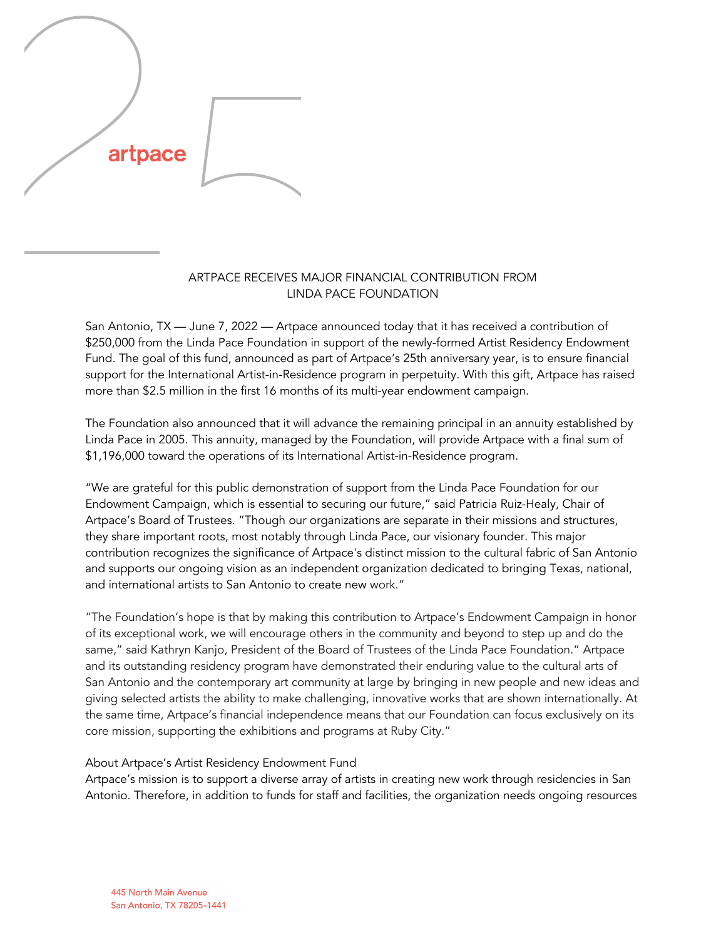

## ARTPACE RECEIVES MAJOR FINANCIAL CONTRIBUTION FROM LINDA PACE FOUNDATION

San Antonio, TX — June 7, 2022 — Artpace announced today that it has received a contribution of \$250,000 from the Linda Pace Foundation in support of the newly-formed Artist Residency Endowment Fund. The goal of this fund, announced as part of Artpace's 25th anniversary year, is to ensure financial support for the International Artist-in-Residence program in perpetuity. With this gift, Artpace has raised more than \$2.5 million in the first 16 months of its multi-year endowment campaign.

The Foundation also announced that it will advance the remaining principal in an annuity established by Linda Pace in 2005. This annuity, managed by the Foundation, will provide Artpace with a final sum of \$1,196,000 toward the operations of its International Artist-in-Residence program.

"We are grateful for this public demonstration of support from the Linda Pace Foundation for our Endowment Campaign, which is essential to securing our future," said Patricia Ruiz-Healy, Chair of Artpace's Board of Trustees. "Though our organizations are separate in their missions and structures, they share important roots, most notably through Linda Pace, our visionary founder. This major contribution recognizes the significance of Artpace's distinct mission to the cultural fabric of San Antonio and supports our ongoing vision as an independent organization dedicated to bringing Texas, national, and international artists to San Antonio to create new work."

"The Foundation's hope is that by making this contribution to Artpace's Endowment Campaign in honor of its exceptional work, we will encourage others in the community and beyond to step up and do the same," said Kathryn Kanjo, President of the Board of Trustees of the Linda Pace Foundation." Artpace and its outstanding residency program have demonstrated their enduring value to the cultural arts of San Antonio and the contemporary art community at large by bringing in new people and new ideas and giving selected artists the ability to make challenging, innovative works that are shown internationally. At the same time, Artpace's financial independence means that our Foundation can focus exclusively on its core mission, supporting the exhibitions and programs at Ruby City."

## About Artpace's Artist Residency Endowment Fund

Artpace's mission is to support a diverse array of artists in creating new work through residencies in San Antonio. Therefore, in addition to funds for staff and facilities, the organization needs ongoing resources